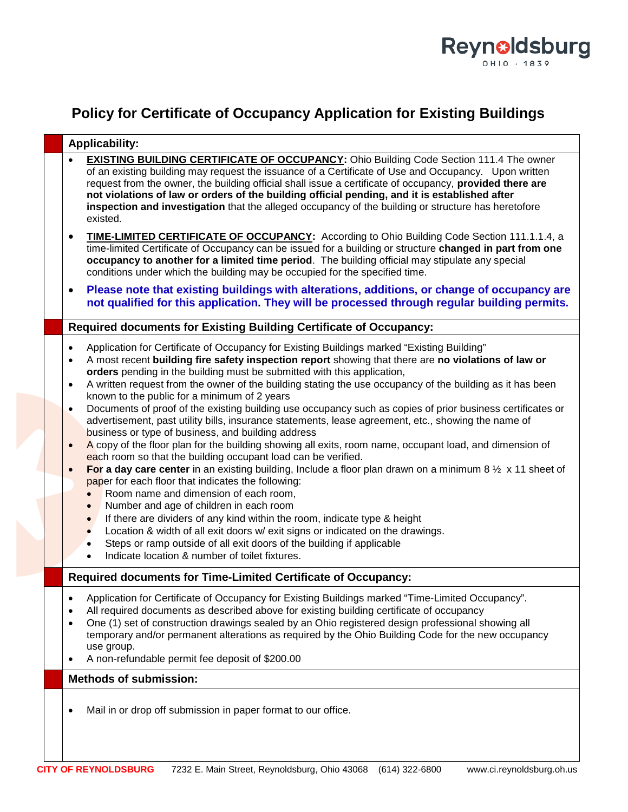

## **Policy for Certificate of Occupancy Application for Existing Buildings**

| <b>Applicability:</b> |                                                                            |                                                                                                                                                                                                                                                                                                                                                                                                                                                                                                                                                                                                                                                                                                                                                                                                                                                                                                                                                                                                                                                                                                                                                                                                                                                                                                                                                                                                                                                                                                                                                |  |  |  |  |  |  |
|-----------------------|----------------------------------------------------------------------------|------------------------------------------------------------------------------------------------------------------------------------------------------------------------------------------------------------------------------------------------------------------------------------------------------------------------------------------------------------------------------------------------------------------------------------------------------------------------------------------------------------------------------------------------------------------------------------------------------------------------------------------------------------------------------------------------------------------------------------------------------------------------------------------------------------------------------------------------------------------------------------------------------------------------------------------------------------------------------------------------------------------------------------------------------------------------------------------------------------------------------------------------------------------------------------------------------------------------------------------------------------------------------------------------------------------------------------------------------------------------------------------------------------------------------------------------------------------------------------------------------------------------------------------------|--|--|--|--|--|--|
|                       |                                                                            | <b>EXISTING BUILDING CERTIFICATE OF OCCUPANCY:</b> Ohio Building Code Section 111.4 The owner<br>of an existing building may request the issuance of a Certificate of Use and Occupancy. Upon written<br>request from the owner, the building official shall issue a certificate of occupancy, provided there are<br>not violations of law or orders of the building official pending, and it is established after<br>inspection and investigation that the alleged occupancy of the building or structure has heretofore<br>existed.                                                                                                                                                                                                                                                                                                                                                                                                                                                                                                                                                                                                                                                                                                                                                                                                                                                                                                                                                                                                          |  |  |  |  |  |  |
|                       | $\bullet$                                                                  | <b>TIME-LIMITED CERTIFICATE OF OCCUPANCY:</b> According to Ohio Building Code Section 111.1.1.4, a<br>time-limited Certificate of Occupancy can be issued for a building or structure changed in part from one<br>occupancy to another for a limited time period. The building official may stipulate any special<br>conditions under which the building may be occupied for the specified time.                                                                                                                                                                                                                                                                                                                                                                                                                                                                                                                                                                                                                                                                                                                                                                                                                                                                                                                                                                                                                                                                                                                                               |  |  |  |  |  |  |
|                       | $\bullet$                                                                  | Please note that existing buildings with alterations, additions, or change of occupancy are<br>not qualified for this application. They will be processed through regular building permits.                                                                                                                                                                                                                                                                                                                                                                                                                                                                                                                                                                                                                                                                                                                                                                                                                                                                                                                                                                                                                                                                                                                                                                                                                                                                                                                                                    |  |  |  |  |  |  |
|                       |                                                                            | Required documents for Existing Building Certificate of Occupancy:                                                                                                                                                                                                                                                                                                                                                                                                                                                                                                                                                                                                                                                                                                                                                                                                                                                                                                                                                                                                                                                                                                                                                                                                                                                                                                                                                                                                                                                                             |  |  |  |  |  |  |
|                       | $\bullet$<br>$\bullet$<br>$\bullet$<br>$\bullet$<br>$\bullet$<br>$\bullet$ | Application for Certificate of Occupancy for Existing Buildings marked "Existing Building"<br>A most recent building fire safety inspection report showing that there are no violations of law or<br>orders pending in the building must be submitted with this application,<br>A written request from the owner of the building stating the use occupancy of the building as it has been<br>known to the public for a minimum of 2 years<br>Documents of proof of the existing building use occupancy such as copies of prior business certificates or<br>advertisement, past utility bills, insurance statements, lease agreement, etc., showing the name of<br>business or type of business, and building address<br>A copy of the floor plan for the building showing all exits, room name, occupant load, and dimension of<br>each room so that the building occupant load can be verified.<br>For a day care center in an existing building, Include a floor plan drawn on a minimum $8\frac{1}{2} \times 11$ sheet of<br>paper for each floor that indicates the following:<br>Room name and dimension of each room,<br>$\bullet$<br>Number and age of children in each room<br>$\bullet$<br>If there are dividers of any kind within the room, indicate type & height<br>$\bullet$<br>Location & width of all exit doors w/ exit signs or indicated on the drawings.<br>$\bullet$<br>Steps or ramp outside of all exit doors of the building if applicable<br>$\bullet$<br>Indicate location & number of toilet fixtures.<br>$\bullet$ |  |  |  |  |  |  |
|                       |                                                                            | Required documents for Time-Limited Certificate of Occupancy:                                                                                                                                                                                                                                                                                                                                                                                                                                                                                                                                                                                                                                                                                                                                                                                                                                                                                                                                                                                                                                                                                                                                                                                                                                                                                                                                                                                                                                                                                  |  |  |  |  |  |  |
|                       | $\bullet$<br>$\bullet$<br>٠                                                | Application for Certificate of Occupancy for Existing Buildings marked "Time-Limited Occupancy".<br>All required documents as described above for existing building certificate of occupancy<br>One (1) set of construction drawings sealed by an Ohio registered design professional showing all<br>temporary and/or permanent alterations as required by the Ohio Building Code for the new occupancy<br>use group.<br>A non-refundable permit fee deposit of \$200.00                                                                                                                                                                                                                                                                                                                                                                                                                                                                                                                                                                                                                                                                                                                                                                                                                                                                                                                                                                                                                                                                       |  |  |  |  |  |  |
|                       | <b>Methods of submission:</b>                                              |                                                                                                                                                                                                                                                                                                                                                                                                                                                                                                                                                                                                                                                                                                                                                                                                                                                                                                                                                                                                                                                                                                                                                                                                                                                                                                                                                                                                                                                                                                                                                |  |  |  |  |  |  |
|                       |                                                                            | Mail in or drop off submission in paper format to our office.                                                                                                                                                                                                                                                                                                                                                                                                                                                                                                                                                                                                                                                                                                                                                                                                                                                                                                                                                                                                                                                                                                                                                                                                                                                                                                                                                                                                                                                                                  |  |  |  |  |  |  |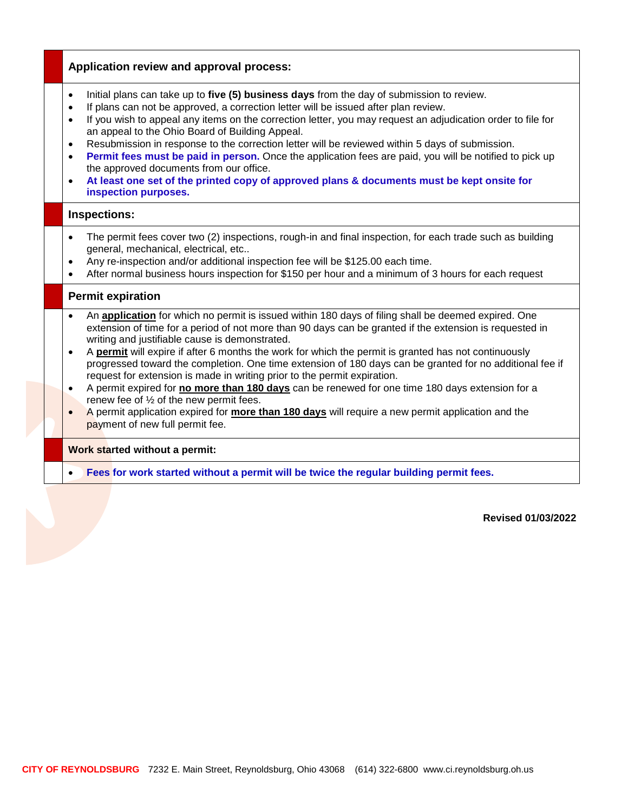|                     | an appeal to the Ohio Board of Building Appeal.<br>Resubmission in response to the correction letter will be reviewed within 5 days of submission.<br>$\bullet$<br>Permit fees must be paid in person. Once the application fees are paid, you will be notified to pick up<br>$\bullet$<br>the approved documents from our office.<br>At least one set of the printed copy of approved plans & documents must be kept onsite for<br>inspection purposes.                                                                                                                                                                                                                                                                                                                                                                                                                                                    |  |  |  |  |  |  |
|---------------------|-------------------------------------------------------------------------------------------------------------------------------------------------------------------------------------------------------------------------------------------------------------------------------------------------------------------------------------------------------------------------------------------------------------------------------------------------------------------------------------------------------------------------------------------------------------------------------------------------------------------------------------------------------------------------------------------------------------------------------------------------------------------------------------------------------------------------------------------------------------------------------------------------------------|--|--|--|--|--|--|
| <b>Inspections:</b> |                                                                                                                                                                                                                                                                                                                                                                                                                                                                                                                                                                                                                                                                                                                                                                                                                                                                                                             |  |  |  |  |  |  |
|                     | The permit fees cover two (2) inspections, rough-in and final inspection, for each trade such as building<br>$\bullet$<br>general, mechanical, electrical, etc<br>Any re-inspection and/or additional inspection fee will be \$125.00 each time.<br>$\bullet$<br>After normal business hours inspection for \$150 per hour and a minimum of 3 hours for each request                                                                                                                                                                                                                                                                                                                                                                                                                                                                                                                                        |  |  |  |  |  |  |
|                     | <b>Permit expiration</b>                                                                                                                                                                                                                                                                                                                                                                                                                                                                                                                                                                                                                                                                                                                                                                                                                                                                                    |  |  |  |  |  |  |
|                     | An application for which no permit is issued within 180 days of filing shall be deemed expired. One<br>$\bullet$<br>extension of time for a period of not more than 90 days can be granted if the extension is requested in<br>writing and justifiable cause is demonstrated.<br>A permit will expire if after 6 months the work for which the permit is granted has not continuously<br>$\bullet$<br>progressed toward the completion. One time extension of 180 days can be granted for no additional fee if<br>request for extension is made in writing prior to the permit expiration.<br>A permit expired for no more than 180 days can be renewed for one time 180 days extension for a<br>$\bullet$<br>renew fee of 1/2 of the new permit fees.<br>A permit application expired for more than 180 days will require a new permit application and the<br>$\bullet$<br>payment of new full permit fee. |  |  |  |  |  |  |
|                     | <b>Work started without a permit:</b>                                                                                                                                                                                                                                                                                                                                                                                                                                                                                                                                                                                                                                                                                                                                                                                                                                                                       |  |  |  |  |  |  |
|                     | Fees for work started without a permit will be twice the regular building permit fees.<br>$\bullet$                                                                                                                                                                                                                                                                                                                                                                                                                                                                                                                                                                                                                                                                                                                                                                                                         |  |  |  |  |  |  |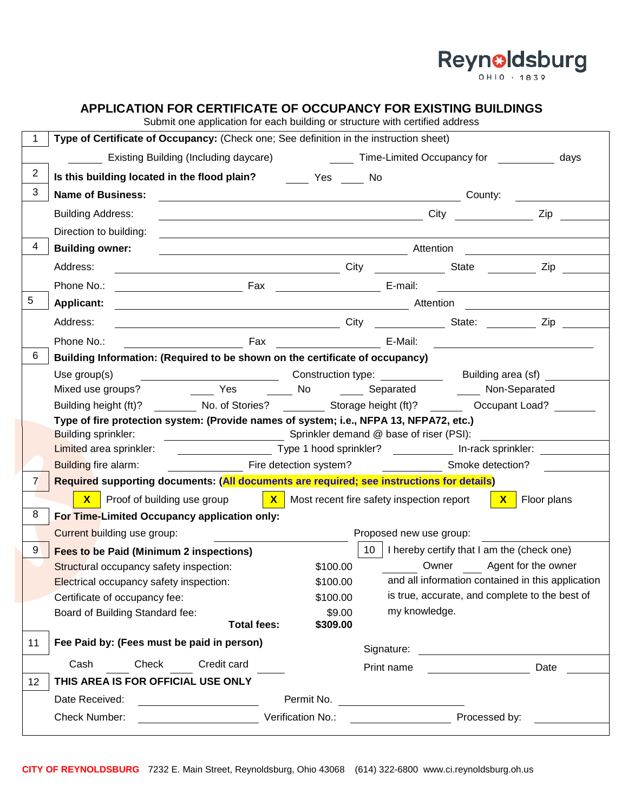# Reynoldsburg

### **APPLICATION FOR CERTIFICATE OF OCCUPANCY FOR EXISTING BUILDINGS**

Submit one application for each building or structure with certified address

| Type of Certificate of Occupancy: (Check one; See definition in the instruction sheet) |                                                                                                                                                                         |                                                                                                                                                                                                                                |                |                                             |                                                 |                                                                                                                        |  |  |  |
|----------------------------------------------------------------------------------------|-------------------------------------------------------------------------------------------------------------------------------------------------------------------------|--------------------------------------------------------------------------------------------------------------------------------------------------------------------------------------------------------------------------------|----------------|---------------------------------------------|-------------------------------------------------|------------------------------------------------------------------------------------------------------------------------|--|--|--|
|                                                                                        | Existing Building (Including daycare) Time-Limited Occupancy for                                                                                                        |                                                                                                                                                                                                                                |                |                                             |                                                 | days                                                                                                                   |  |  |  |
| $\overline{2}$                                                                         | Is this building located in the flood plain? Yes No                                                                                                                     |                                                                                                                                                                                                                                |                |                                             |                                                 |                                                                                                                        |  |  |  |
| 3                                                                                      | <b>Name of Business:</b>                                                                                                                                                |                                                                                                                                                                                                                                | <b>County:</b> |                                             |                                                 |                                                                                                                        |  |  |  |
|                                                                                        | <b>Building Address:</b>                                                                                                                                                |                                                                                                                                                                                                                                |                |                                             |                                                 |                                                                                                                        |  |  |  |
|                                                                                        | Direction to building:                                                                                                                                                  |                                                                                                                                                                                                                                |                |                                             |                                                 |                                                                                                                        |  |  |  |
| 4                                                                                      | <b>Building owner:</b>                                                                                                                                                  | example and the state of the state of the state of the state of the state of the state of the state of the state of the state of the state of the state of the state of the state of the state of the state of the state of th |                |                                             |                                                 |                                                                                                                        |  |  |  |
|                                                                                        | Address:                                                                                                                                                                |                                                                                                                                                                                                                                |                |                                             |                                                 |                                                                                                                        |  |  |  |
|                                                                                        | Phone No.:                                                                                                                                                              |                                                                                                                                                                                                                                |                |                                             |                                                 | <u> 1989 - Jan Stern Harry Harry Harry Harry Harry Harry Harry Harry Harry Harry Harry Harry Harry Harry Harry Har</u> |  |  |  |
| 5                                                                                      | <b>Applicant:</b>                                                                                                                                                       |                                                                                                                                                                                                                                |                |                                             |                                                 |                                                                                                                        |  |  |  |
|                                                                                        | City City State: City State: 2ip 2001<br>Address:                                                                                                                       |                                                                                                                                                                                                                                |                |                                             |                                                 |                                                                                                                        |  |  |  |
|                                                                                        | Phone No.:                                                                                                                                                              |                                                                                                                                                                                                                                |                |                                             |                                                 |                                                                                                                        |  |  |  |
| 6                                                                                      | Building Information: (Required to be shown on the certificate of occupancy)                                                                                            |                                                                                                                                                                                                                                |                |                                             |                                                 |                                                                                                                        |  |  |  |
|                                                                                        | Use group(s)                                                                                                                                                            |                                                                                                                                                                                                                                |                |                                             |                                                 |                                                                                                                        |  |  |  |
|                                                                                        | Yes No Separated<br>Mixed use groups?                                                                                                                                   |                                                                                                                                                                                                                                |                |                                             | Non-Separated                                   |                                                                                                                        |  |  |  |
|                                                                                        | Building height (ft)? No. of Stories? Storage height (ft)? Cocupant Load?                                                                                               |                                                                                                                                                                                                                                |                |                                             |                                                 |                                                                                                                        |  |  |  |
|                                                                                        | Type of fire protection system: (Provide names of system; i.e., NFPA 13, NFPA72, etc.)                                                                                  |                                                                                                                                                                                                                                |                |                                             |                                                 |                                                                                                                        |  |  |  |
|                                                                                        | Sprinkler demand @ base of riser (PSI):<br><b>Building sprinkler:</b>                                                                                                   |                                                                                                                                                                                                                                |                |                                             |                                                 |                                                                                                                        |  |  |  |
|                                                                                        |                                                                                                                                                                         |                                                                                                                                                                                                                                |                |                                             |                                                 |                                                                                                                        |  |  |  |
| 7 <sup>1</sup>                                                                         | Fire detection system? The Smoke detection?<br><b>Building fire alarm:</b><br>Required supporting documents: (All documents are required; see instructions for details) |                                                                                                                                                                                                                                |                |                                             |                                                 |                                                                                                                        |  |  |  |
|                                                                                        | <b>X</b> Proof of building use group                                                                                                                                    |                                                                                                                                                                                                                                |                | X Most recent fire safety inspection report |                                                 | <b>X</b> Floor plans                                                                                                   |  |  |  |
| 8                                                                                      | For Time-Limited Occupancy application only:                                                                                                                            |                                                                                                                                                                                                                                |                |                                             |                                                 |                                                                                                                        |  |  |  |
|                                                                                        | Current building use group:                                                                                                                                             |                                                                                                                                                                                                                                |                | Proposed new use group:                     |                                                 |                                                                                                                        |  |  |  |
| 9 <sup>°</sup>                                                                         | <b>Fees to be Paid (Minimum 2 inspections)</b>                                                                                                                          |                                                                                                                                                                                                                                |                |                                             | 10   I hereby certify that I am the (check one) |                                                                                                                        |  |  |  |
|                                                                                        | Structural occupancy safety inspection:                                                                                                                                 |                                                                                                                                                                                                                                | \$100.00       |                                             | Owner Agent for the owner                       |                                                                                                                        |  |  |  |
|                                                                                        | Electrical occupancy safety inspection:                                                                                                                                 |                                                                                                                                                                                                                                | \$100.00       |                                             |                                                 | and all information contained in this application                                                                      |  |  |  |
|                                                                                        | Certificate of occupancy fee:                                                                                                                                           |                                                                                                                                                                                                                                | \$100.00       |                                             |                                                 | is true, accurate, and complete to the best of                                                                         |  |  |  |
|                                                                                        | Board of Building Standard fee:                                                                                                                                         |                                                                                                                                                                                                                                | \$9.00         | my knowledge.                               |                                                 |                                                                                                                        |  |  |  |
|                                                                                        | <b>Total fees:</b>                                                                                                                                                      |                                                                                                                                                                                                                                | \$309.00       |                                             |                                                 |                                                                                                                        |  |  |  |
| 11                                                                                     | Fee Paid by: (Fees must be paid in person)                                                                                                                              |                                                                                                                                                                                                                                | Signature:     |                                             |                                                 |                                                                                                                        |  |  |  |
|                                                                                        | Cash<br>Check<br>Credit card                                                                                                                                            |                                                                                                                                                                                                                                |                | Print name                                  |                                                 | Date                                                                                                                   |  |  |  |
| 12                                                                                     | THIS AREA IS FOR OFFICIAL USE ONLY                                                                                                                                      |                                                                                                                                                                                                                                |                |                                             |                                                 |                                                                                                                        |  |  |  |
|                                                                                        | Date Received:                                                                                                                                                          | Permit No.                                                                                                                                                                                                                     |                |                                             |                                                 |                                                                                                                        |  |  |  |
|                                                                                        | Verification No.:<br>Check Number:<br><b>Contract Contract Contract</b>                                                                                                 |                                                                                                                                                                                                                                |                | Processed by:                               |                                                 |                                                                                                                        |  |  |  |